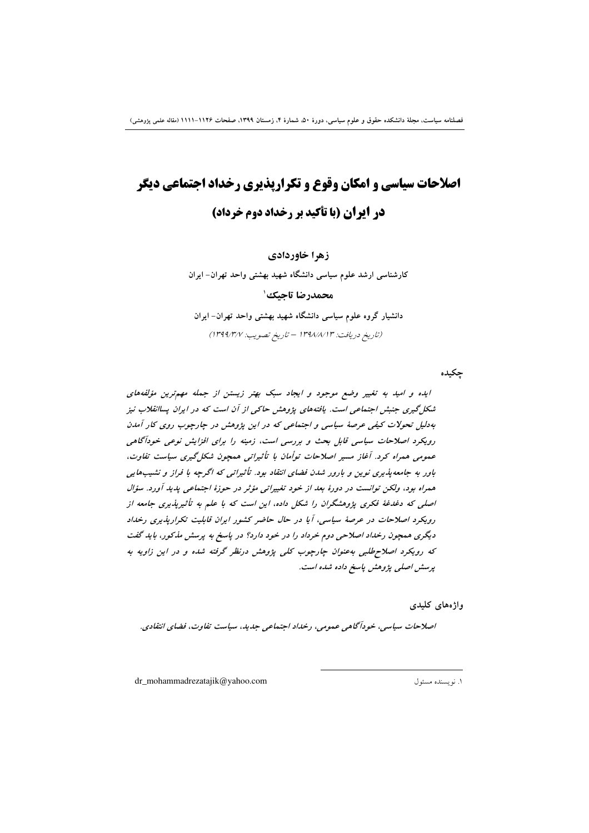# **اصلاحات سیاسی و امکان وقوع و تکرارپذیری رخداد اجتماعی دیگر در ایران (با تأکید بر رخداد دوم خرداد)**

**زهرا خاوردادی** 

کارشناسی ارشد علوم سیاسی دانشگاه شهید بهشتی واحد تهران– ایران **محمدرضا تاحیک** ٰ دانشیار گروه علوم سیاسی دانشگاه شهید بهشتی واحد تهران– ایران (تاریخ دریافت: ۱۳۹۸/۸/۱۳ – تاریخ تصویب: ۱۳۹۹/۳/۷)

چکیده

ایده و امید به تغییر وضع موجود و ایجاد سبک بهتر زیستن از جمله مهمترین مؤلفههای شکل گیری جنبش اجتما*عی است. یافتههای پژوهش حاکی از آن است که در ایران پساانقلاب نیز* بهدلیل تحولات کیفی عرصهٔ سیاسی و اجتماعی که در این پژوهش در چارچوب روی کار آمدن رویکرد اصلاحات سیاسی قابل بحث و بررسی است، زمینه را برای افزایش نوعی خودآگاهی عمومی همراه کرد. آغاز مسیر اصلاحات توأمان با تأثیراتی همچون شکل گیری سیاست تفاوت، باور به جامعه $\psi$ دیری نوین و بارور شدن فضای انتقاد بود. تأثیراتی که اگرچه با فراز و نشیبهایی همراه بود، ولکن توانست در دورهٔ بع*د از خود تغییراتی مؤث*ر در حوزهٔ اجتماعی پ*دید آو*رد. سؤال اصلی که دغدغهٔ فکری پژوهشگران را شکل داده، این است که با علم به تأثیرپذیری جامعه از رویکرد اصلاحات در عرصهٔ سیاسی، آیا در حال حاضر کشور ایران قابلیت تکرارپذیری رخداد دیگری همچون رخد*اد اصلاحی دو*م خرد*اد را در خود دار*د؟ در پاسخ به پرسش مذکور، باید گفت که رویکرد اصلاحطلبی بهعنوان چارچوب کلی پژوهش درنظر گرفته شده و در این زاویه به **ب**رسش اصلبی پژوهش پاسخ داده شده است.

واژەھای کلید<u>ی</u>

**/صلاحات سیاسی، خودآگاهی عمومی، رخل**اد اجتماعی جدید، سیاست تفاوت، فضای انتقادی.

 $\overline{a}$ 

dr\_mohammadrezatajik@yahoo.com 1 .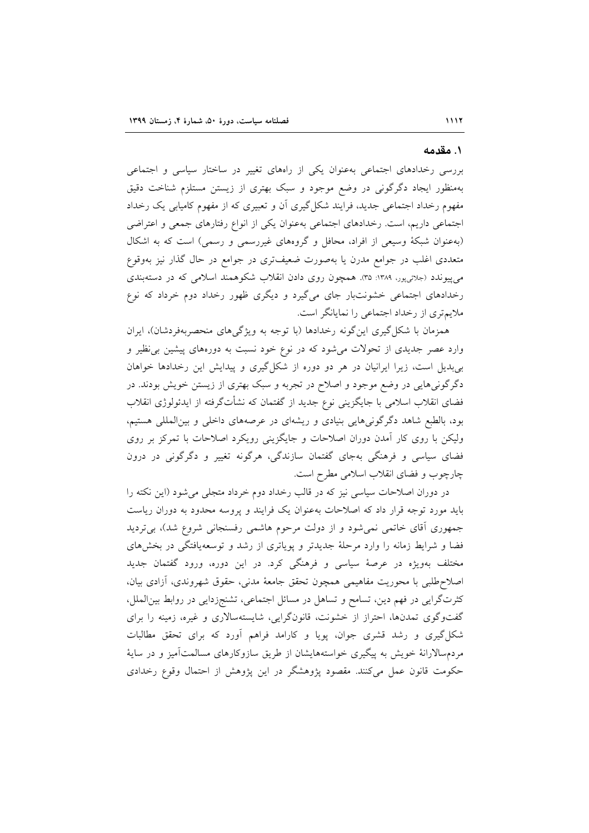#### ۱. مقدمه

بررسی رخدادهای اجتماعی بهعنوان یکی از راههای تغییر در ساختار سیاسی و اجتماعی بهمنظور ایجاد دگرگونی در وضع موجود و سبک بهتری از زیستن مستلزم شناخت دقیق مفهوم رخداد اجتماعی جدید، فرایند شکل گیری آن و تعبیری که از مفهوم کامیابی یک رخداد اجتماعی داریم، است. رخدادهای اجتماعی بهعنوان یکی از انواع رفتارهای جمعی و اعتراضی (بهعنوان شبکهٔ وسیعی از افراد، محافل و گروههای غیررسمی و رسمی) است که به اشکال متعددی اغلب در جوامع مدرن یا بهصورت ضعیفتری در جوامع در حال گذار نیز بهوقوع می پیوندد (جلائی پور، ۱۳۸۹: ۳۵). همچون روی دادن انقلاب شکوهمند اسلامی که در دستهبندی رخدادهای اجتماعی خشونتبار جای میگیرد و دیگری ظهور رخداد دوم خرداد که نوع ملایم تری از رخداد اجتماعی را نمایانگر است.

همزمان با شکل گیری این گونه رخدادها (با توجه به ویژگیهای منحصربهفردشان)، ایران وارد عصر جدیدی از تحولات میشود که در نوع خود نسبت به دورههای پیشین بی نظیر و بیبدیل است، زیرا ایرانیان در هر دو دوره از شکل گیری و پیدایش این رخدادها خواهان دگرگونیهایی در وضع موجود و اصلاح در تجربه و سبک بهتری از زیستن خویش بودند. در فضای انقلاب اسلامی با جایگزینی نوع جدید از گفتمان که نشأتگرفته از ایدئولوژی انقلاب بود، بالطبع شاهد دگرگونیهایی بنیادی و ریشهای در عرصههای داخلی و بینالمللی هستیم، ولیکن با روی کار آمدن دوران اصلاحات و جایگزینی رویکرد اصلاحات با تمرکز بر روی فضای سیاسی و فرهنگی بهجای گفتمان سازندگی، هرگونه تغییر و دگرگونی در درون چارچوب و فضای انقلاب اسلامی مطرح است.

در دوران اصلاحات سیاسی نیز که در قالب رخداد دوم خرداد متجلی می شود (این نکته را باید مورد توجه قرار داد که اصلاحات بهعنوان یک فرایند و پروسه محدود به دوران ریاست جمهوری آقای خاتمی نمی شود و از دولت مرحوم هاشمی رفسنجانی شروع شد)، بی تردید فضا و شرایط زمانه را وارد مرحلهٔ جدیدتر و یوپاتری از رشد و توسعهیافتگی در بخشهای مختلف بهویژه در عرصهٔ سیاسی و فرهنگی کرد. در این دوره، ورود گفتمان جدید اصلاح طلبي با محوريت مفاهيمي همچون تحقق جامعهٔ مدني، حقوق شهروندي، آزادي بيان، کثرتگرایی در فهم دین، تسامح و تساهل در مسائل اجتماعی، تشنجزدایی در روابط بین|لملل، گفتوگوی تمدنها، احتراز از خشونت، قانونگرایی، شایستهسالاری و غیره، زمینه را برای شکل گیری و رشد قشری جوان، پویا و کارامد فراهم آورد که برای تحقق مطالبات مردمسالارانهٔ خویش به پیگیری خواستههایشان از طریق سازوکارهای مسالمتآمیز و در سایهٔ حکومت قانون عمل میکنند. مقصود یژوهشگر در این یژوهش از احتمال وقوع رخدادی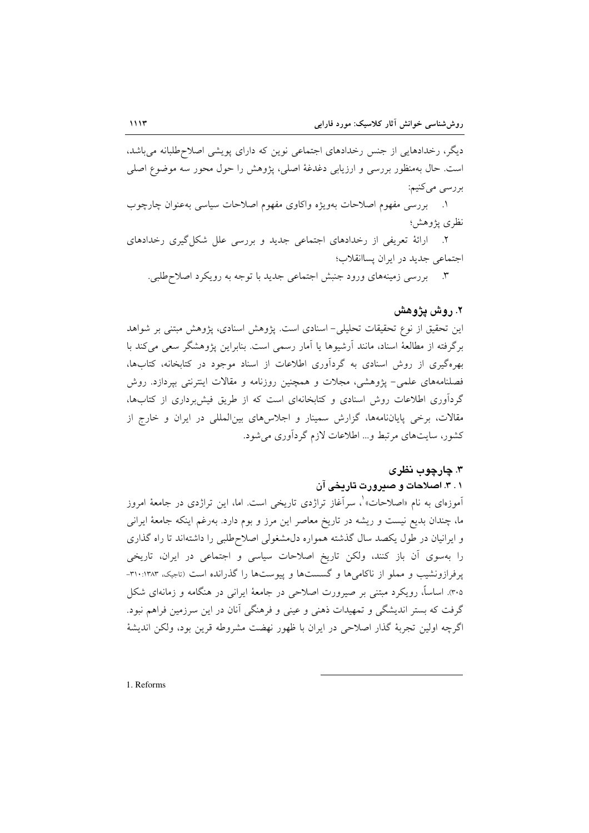دیگر، رخدادهایی از جنس رخدادهای اجتماعی نوین که دارای پویشی اصلاحطلبانه میباشد، است. حال بهمنظور بررسی و ارزیابی دغدغهٔ اصلی، پژوهش را حول محور سه موضوع اصلی بررسي ميكنيم:

١. بررسي مفهوم اصلاحات بهويژه واكاوى مفهوم اصلاحات سياسي بهعنوان چارچوب نظري يژوهش؛

۲. ارائهٔ تعریفی از رخدادهای اجتماعی جدید و بررسی علل شکل گیری رخدادهای اجتماعی جدید در ایران پساانقلاب؛

۳. بررسی زمینههای ورود جنبش اجتماعی جدید با توجه به رویکرد اصلاحطلبی.

#### ٢. روش پژوهش

این تحقیق از نوع تحقیقات تحلیلی- اسنادی است. پژوهش اسنادی، پژوهش مبتنی بر شواهد برگرفته از مطالعهٔ اسناد، مانند آرشیوها یا آمار رسمی است. بنابراین پژوهشگر سعی می کند با بهرهگیری از روش اسنادی به گردآوری اطلاعات از اسناد موجود در کتابخانه، کتابها، فصلنامههای علمی- پژوهشی، مجلات و همچنین روزنامه و مقالات اینترنتی بپردازد. روش گردآوری اطلاعات روش اسنادی و کتابخانهای است که از طریق فیش برداری از کتابها، مقالات، برخی پایاننامهها، گزارش سمینار و اجلاسهای بینالمللی در ایران و خارج از کشور، سایتهای مرتبط و... اطلاعات لازم گردآوری می شود.

### ۳. چارچوب نظری

۰.۱ اصلاحات و صیرورت تاریخی آن

آموزهای به نام «اصلاحات» ْ، سرآغاز تراژدی تاریخی است. اما، این تراژدی در جامعهٔ امروز ما، چندان بدیع نیست و ریشه در تاریخ معاصر این مرز و بوم دارد. بهرغم اینکه جامعهٔ ایرانی و ایرانیان در طول یکصد سال گذشته همواره دل مشغولی اصلاح طلبی را داشتهاند تا راه گذاری را بهسوی اّن باز کنند، ولکن تاریخ اصلاحات سیاسی و اجتماعی در ایران، تاریخی یرفرازونشیب و مملو از ناکامی ها و گسستها و پیوستها را گذرانده است (تاجیک، ۱۳۸۳-۳۱۰-۳۰۵). اساساً، رویکرد مبتنی بر صیرورت اصلاحی در جامعهٔ ایرانی در هنگامه و زمانهای شکل گرفت که بستر اندیشگی و تمهیدات ذهنی و عینی و فرهنگی آنان در این سرزمین فراهم نبود. اگرچه اولین تجربهٔ گذار اصلاحی در ایران با ظهور نهضت مشروطه قرین بود، ولکن اندیشهٔ

1. Reforms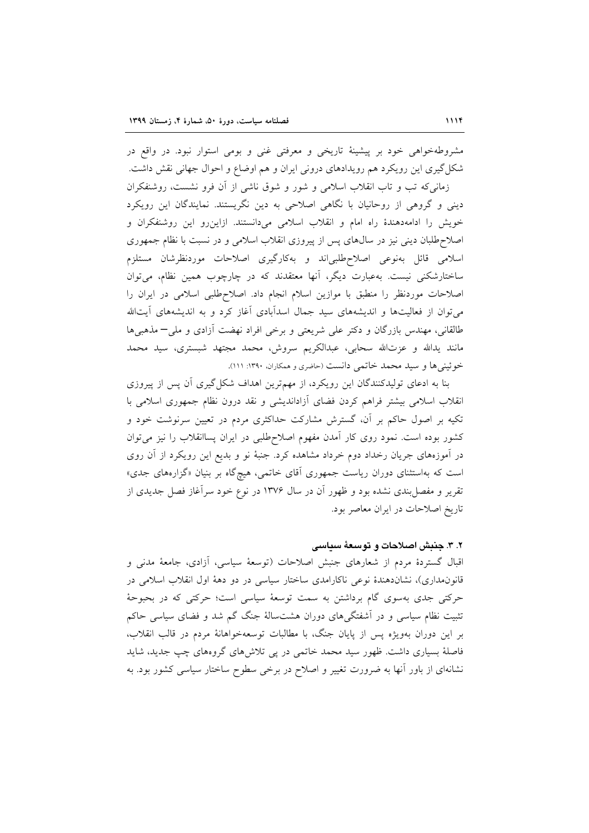مشروطهخواهی خود بر پیشینهٔ تاریخی و معرفتی غنی و بومی استوار نبود. در واقع در شکل گیری این رویکرد هم رویدادهای درونی ایران و هم اوضاع و احوال جهانی نقش داشت. زمانی که تب و تاب انقلاب اسلامی و شور و شوق ناشی از آن فرو نشست، روشنفکران دینی و گروهی از روحانیان با نگاهی اصلاحی به دین نگریستند. نمایندگان این رویکرد خویش را ادامهدهندهٔ راه امام و انقلاب اسلامی میدانستند. ازاین رو این روشنفکران و اصلاح طلبان دینی نیز در سال های پس از پیروزی انقلاب اسلامی و در نسبت با نظام جمهوری اسلامی قائل بهنوعی اصلاحطلبیاند و بهکارگیری اصلاحات موردنظرشان مستلزم ساختارشکنی نیست. بهعبارت دیگر، آنها معتقدند که در چارچوب همین نظام، می توان اصلاحات موردنظر را منطبق با موازين اسلام انجام داد. اصلاحطلبي اسلامي در ايران را می توان از فعالیتها و اندیشههای سید جمال اسدآبادی آغاز کرد و به اندیشههای آیتالله طالقاني، مهندس بازرگان و دکتر علي شريعتي و برخي افراد نهضت آزادي و ملي—مذهبي ها مانند يدالله و عزتالله سحابي، عبدالكريم سروش، محمد مجتهد شبستري، سيد محمد خوئيني ها و سيد محمد خاتمي دانست (حاضري و همكاران، ١٣٩٠: ١١١).

بنا به ادعای تولیدکنندگان این رویکرد، از مهمترین اهداف شکل گیری آن پس از پیروزی انقلاب اسلامی بیشتر فراهم کردن فضای آزاداندیشی و نقد درون نظام جمهوری اسلامی با تکیه بر اصول حاکم بر آن، گسترش مشارکت حداکثری مردم در تعیین سرنوشت خود و کشور بوده است. نمود روی کار آمدن مفهوم اصلاح طلبی در ایران پساانقلاب را نیز میتوان در آموزههای جریان رخداد دوم خرداد مشاهده کرد. جنبهٔ نو و بدیع این رویکرد از آن روی است که بهاستثنای دوران ریاست جمهوری آقای خاتمی، هیچگاه بر بنیان «گزارههای جدی» تقریر و مفصل بندی نشده بود و ظهور آن در سال ۱۳۷۶ در نوع خود سرآغاز فصل جدیدی از تاریخ اصلاحات در ایران معاصر بود.

#### ۲. ۳. جنبش اصلاحات و توسعهٔ سیاسی

اقبال گستردهٔ مردم از شعارهای جنبش اصلاحات (توسعهٔ سیاسی، آزادی، جامعهٔ مدنی و قانون.مداری)، نشاندهندهٔ نوعی ناکارامدی ساختار سیاسی در دو دههٔ اول انقلاب اسلامی در حرکتی جدی بهسوی گام برداشتن به سمت توسعهٔ سیاسی است؛ حرکتی که در بحبوحهٔ تثبیت نظام سیاسی و در آشفتگیهای دوران هشتسالهٔ جنگ گم شد و فضای سیاسی حاکم بر این دوران بهویژه پس از پایان جنگ، با مطالبات توسعهخواهانهٔ مردم در قالب انقلاب، فاصلهٔ بسیاری داشت. ظهور سید محمد خاتمی در پی تلاشهای گروههای چپ جدید، شاید نشانهای از باور آنها به ضرورت تغییر و اصلاح در برخی سطوح ساختار سیاسی کشور بود. به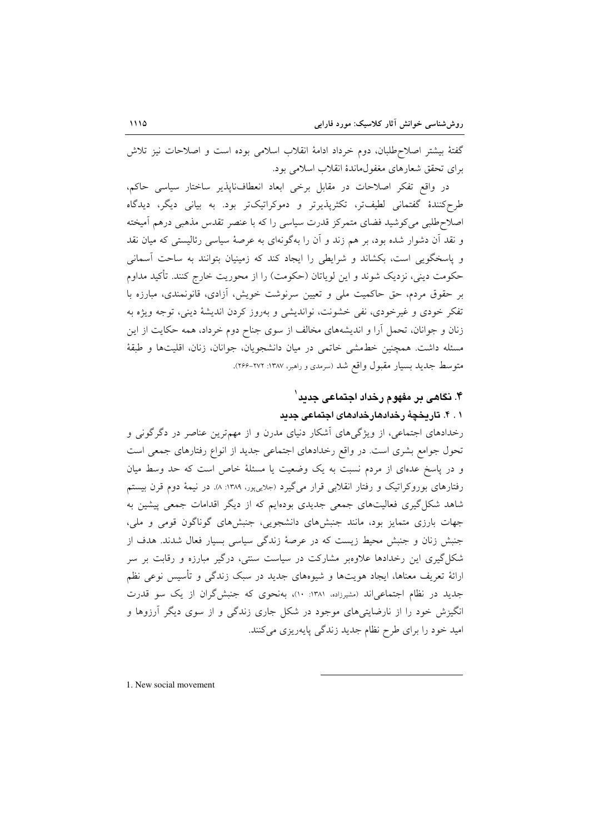گفتهٔ بیشتر اصلاحطلبان، دوم خرداد ادامهٔ انقلاب اسلامی بوده است و اصلاحات نیز تلاش براي تحقق شعارهاي مغفول ماندهٔ انقلاب اسلامي بود.

در واقع تفكر اصلاحات در مقابل برخي ابعاد انعطاف ناپذير ساختار سياسي حاكم، طرحکنندهٔ گفتمانی لطیفتر، تکثرپذیرتر و دموکراتیکتر بود. به بیانی دیگر، دیدگاه اصلاح طلبی میکوشید فضای متمرکز قدرت سیاسی را که با عنصر تقدس مذهبی درهم اَمیخته و نقد آن دشوار شده بود، بر هم زند و آن را بهگونهای به عرصهٔ سیاسی رئالیستی که میان نقد و پاسخگویی است، بکشاند و شرایطی را ایجاد کند که زمینیان بتوانند به ساحت آسمانی حکومت دینی، نزدیک شوند و این لویاتان (حکومت) را از محوریت خارج کنند. تأکید مداوم بر حقوق مردم، حق حاکمیت ملی و تعیین سرنوشت خویش، آزادی، قانونمندی، مبارزه با تفکر خودی و غیرخودی، نفی خشونت، نواندیشی و بهروز کردن اندیشهٔ دینی، توجه ویژه به زنان و جوانان، تحمل آرا و اندیشههای مخالف از سوی جناح دوم خرداد، همه حکایت از این مسئله داشت. همچنین خطمشی خاتمی در میان دانشجویان، جوانان، زنان، اقلیتها و طبقهٔ متوسط جدید بسیار مقبول واقع شد (سرمدی و راهبر، ۱۳۸۷-۲۶۶).

# ۴. نگاهی بر مفهوم رخداد اجتماعی جدید ٔ ۰ . ۴. تاریخچهٔ رخدادهارخدادهای اجتماعی جدید

رخدادهای اجتماعی، از ویژگیهای اَشکار دنیای مدرن و از مهمترین عناصر در دگرگونی و تحول جوامع بشری است. در واقع رخدادهای اجتماعی جدید از انواع رفتارهای جمعی است و در پاسخ عدمای از مردم نسبت به یک وضعیت یا مسئلهٔ خاص است که حد وسط میان رفتارهای بوروکراتیک و رفتار انقلابی قرار میگیرد (جلاییپور، ۱۳۸۹: ۸). در نیمهٔ دوم قرن بیستم شاهد شکل گیری فعالیتهای جمعی جدیدی بودهایم که از دیگر اقدامات جمعی پیشین به جهات بارزی متمایز بود، مانند جنبشهای دانشجویی، جنبشهای گوناگون قومی و ملی، جنبش زنان و جنبش محیط زیست که در عرصهٔ زندگی سیاسی بسیار فعال شدند. هدف از شکل گیری این رخدادها علاوهبر مشارکت در سیاست سنتی، درگیر مبارزه و رقابت بر سر ارائهٔ تعریف معناها، ایجاد هویتها و شیوههای جدید در سبک زندگی و تأسیس نوعی نظم جدید در نظام اجتماعیاند (مشیرزاده، ۱۳۸۱: ۱۰)، بهنحوی که جنبش گران از یک سو قدرت انگیزش خود را از نارضایتیهای موجود در شکل جاری زندگی و از سوی دیگر آرزوها و امید خود را برای طرح نظام جدید زندگی پایهریزی میکنند.

1. New social movement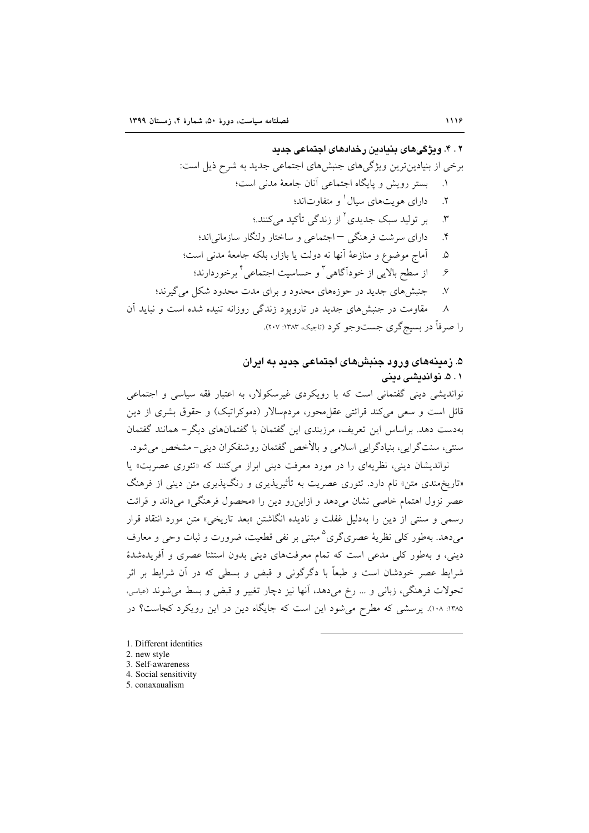# ۲ . ۴ . ویژگی های پینیادین رخدادهای اجتماعی جدید

۸ ـ مقاومت در جنبش های جدید در تارویود زندگی روزانه تنبده شده است و نباید آن

را صرفاً در بسیج گری جستوجو کرد (تاجیک، ۱۳۸۳: ۲۰۷).

# ۵. زمینههای ورود جنبشهای اجتماعی جدید به ایران ۰۱ ۵. نواندیشی دینی

نواندیشی دینی گفتمانی است که با رویکردی غیرسکولار، به اعتبار فقه سیاسی و اجتماعی قائل است و سعی می کند قرائتی عقل محور، مردمسالار (دموکراتیک) و حقوق بشری از دین بهدست دهد. براساس این تعریف، مرزبندی این گفتمان با گفتمانهای دیگر – همانند گفتمان سنتبي، سنتگرايي، بنيادگرايي اسلامي و بالأخص گفتمان روشنفكران ديني- مشخص مي شود.

نواندیشان دینی، نظریهای را در مورد معرفت دینی ابراز میکنند که «تئوری عصریت» یا «تاریخهندی متن» نام دارد. تئوری عصریت به تأثیرپذیری و رنگ،یذیری متن دینی از فرهنگ عصر نزول اهتمام خاصی نشان میدهد و ازاینرو دین را «محصول فرهنگی» میداند و قرائت رسمی و سنتی از دین را بهدلیل غفلت و نادیده انگاشتن «بعد تاریخی» متن مورد انتقاد قرار میدهد. بهطور کل<sub>ی</sub> نظریهٔ عصریگری<sup>۵</sup> مبتنی بر نفی قطعیت، ضرورت و ثبات وحی و معارف دینی، و بهطور کلی مدعی است که تمام معرفتهای دینی بدون استثنا عصری و آفریدهشدهٔ شرایط عصر خودشان است و طبعاً با دگرگونی و قبض و بسطی که در آن شرایط بر اثر تحولات فرهنگي، زباني و … رخ مي دهد، آنها نيز دچار تغيير و قبض و بسط مي شوند (عباسي، ۱۳۸۵: ۱۰۸). پرسشی که مطرح میشود این است که جایگاه دین در این رویکرد کجاست؟ در

- 1. Different identities
- 2. new style
- 3. Self-awareness
- 4. Social sensitivity
- 5. conaxaualism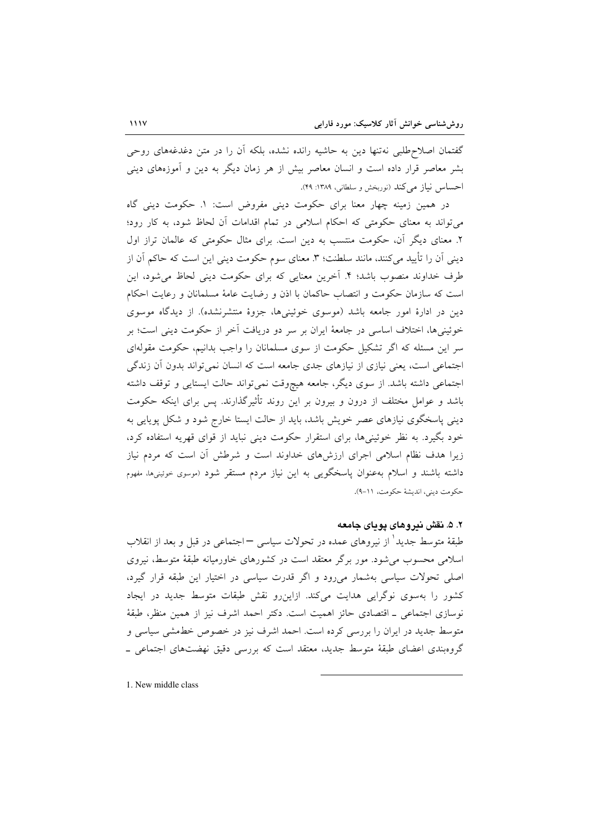گفتمان اصلاحطلبی نهتنها دین به حاشیه رانده نشده، بلکه آن را در متن دغدغههای روحی بشر معاصر قرار داده است و انسان معاصر بیش از هر زمان دیگر به دین و آموزههای دینی احساس نیاز می کند (نوربخش و سلطانی، ۱۳۸۹: ۴۹).

در همین زمینه چهار معنا برای حکومت دینی مفروض است: ۱. حکومت دینی گاه می تواند به معنای حکومتی که احکام اسلامی در تمام اقدامات آن لحاظ شود، به کار رود؛ ۲. معنای دیگر آن، حکومت منتسب به دین است. برای مثال حکومتی که عالمان تراز اول دینی آن را تأیید میکنند، مانند سلطنت؛ ۳. معنای سوم حکومت دینی این است که حاکم آن از طرف خداوند منصوب باشد؛ ۴. آخرین معنایی که برای حکومت دینی لحاظ میشود، این است كه سازمان حكومت و انتصاب حاكمان با اذن و رضايت عامهٔ مسلمانان و رعايت احكام دین در ادارهٔ امور جامعه باشد (موسوی خوئینیها، جزوهٔ منتشرنشده). از دیدگاه موسوی خوئینیها، اختلاف اساسی در جامعهٔ ایران بر سر دو دریافت آخر از حکومت دینی است؛ بر سر این مسئله که اگر تشکیل حکومت از سوی مسلمانان را واجب بدانیم، حکومت مقولهای اجتماعی است، یعنی نیازی از نیازهای جدی جامعه است که انسان نمیتواند بدون آن زندگی اجتماعی داشته باشد. از سوی دیگر، جامعه هیچوقت نمی تواند حالت ایستایی و توقف داشته باشد و عوامل مختلف از درون و بیرون بر این روند تأثیرگذارند. پس برای اینکه حکومت دینی پاسخگوی نیازهای عصر خویش باشد، باید از حالت ایستا خارج شود و شکل پویایی به خود بگیرد. به نظر خوئینیها، برای استقرار حکومت دینی نباید از قوای قهریه استفاده کرد، زیرا هدف نظام اسلامی اجرای ارزش۵های خداوند است و شرطش آن است که مردم نیاز داشته باشند و اسلام بهعنوان پاسخگویی به این نیاز مردم مستقر شود (موسوی خوئینیها، مفهوم حكومت ديني، انديشة حكومت، ١١-٩).

## ۲. ۵. نقش ندروهای پویای جامعه

طبقهٔ متوسط جدید ٔ از نیروهای عمده در تحولات سیاسی – اجتماعی در قبل و بعد از انقلاب اسلامی محسوب میشود. مور برگر معتقد است در کشورهای خاورمیانه طبقهٔ متوسط، نیروی اصلی تحولات سیاسی بهشمار میرود و اگر قدرت سیاسی در اختیار این طبقه قرار گیرد، کشور را بهسوی نوگرایی هدایت میکند. ازاین رو نقش طبقات متوسط جدید در ایجاد نوسازي اجتماعي \_ اقتصادي حائز اهميت است. دكتر احمد اشرف نيز از همين منظر، طبقهٔ متوسط جدید در ایران را بررسی کرده است. احمد اشرف نیز در خصوص خطمشی سیاسی و گروهبندی اعضای طبقهٔ متوسط جدید، معتقد است که بررسی دقیق نهضتهای اجتماعی ــ

1. New middle class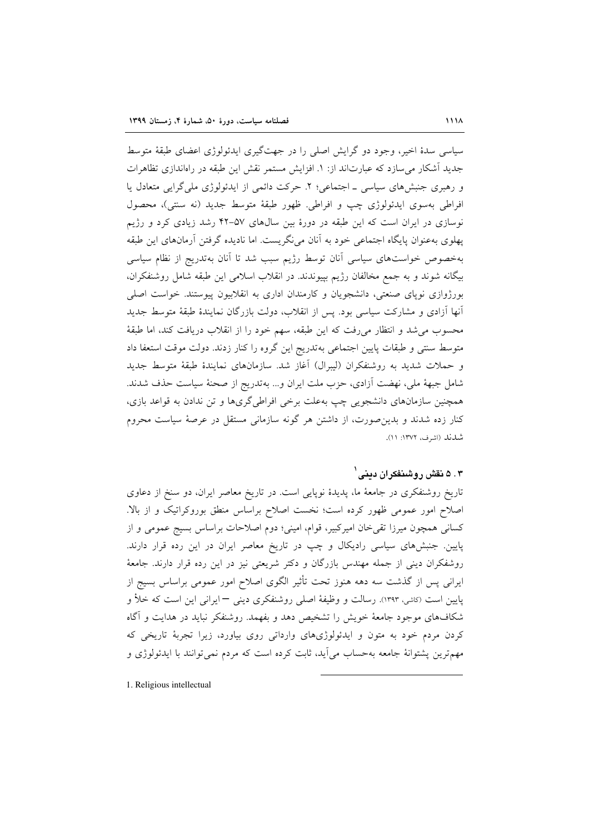سیاسی سدهٔ اخیر، وجود دو گرایش اصلی را در جهتگیری ایدئولوژی اعضای طبقهٔ متوسط جدید آشکار می سازد که عبارتاند از: ۱. افزایش مستمر نقش این طبقه در راهاندازی تظاهرات و رهبری جنبشهای سیاسی ـ اجتماعی؛ ۲. حرکت دائمی از ایدئولوژی ملی گرایی متعادل یا افراطي بهسوى ايدئولوژي چپ و افراطي. ظهور طبقهٔ متوسط جديد (نه سنتي)، محصول نوسازی در ایران است که این طبقه در دورهٔ بین سال های ۵۷–۴۲ رشد زیادی کرد و رژیم پهلوی بهعنوان پایگاه اجتماعی خود به آنان می نگریست. اما نادیده گرفتن آرمانهای این طبقه بهخصوص خواستهاى سياسى آنان توسط رژيم سبب شد تا آنان بهتدريج از نظام سياسى بیگانه شوند و به جمع مخالفان رژیم بییوندند. در انقلاب اسلامی این طبقه شامل روشنفکران، بورژوازی نوپای صنعتی، دانشجویان و کارمندان اداری به انقلابیون پیوستند. خواست اصلی آنها آزادی و مشارکت سیاسی بود. پس از انقلاب، دولت بازرگان نمایندهٔ طبقهٔ متوسط جدید محسوب مي شد و انتظار مي رفت كه اين طبقه، سهم خود را از انقلاب دريافت كند، اما طبقهٔ متوسط سنتی و طبقات پایین اجتماعی بهتدریج این گروه را کنار زدند. دولت موقت استعفا داد و حملات شدید به روشنفکران (لیبرال) آغاز شد. سازمانهای نمایندهٔ طبقهٔ متوسط جدید شامل جبههٔ ملی، نهضت آزادی، حزب ملت ایران و… بهتدریج از صحنهٔ سیاست حذف شدند. همچنین سازمانهای دانشجویی چپ بهعلت برخی افراطیگریها و تن ندادن به قواعد بازی، کنار زده شدند و بدین صورت، از داشتن هر گونه سازمانی مستقل در عرصهٔ سیاست محروم شدند (اشرف، ۱۳۷۲: ۱۱).

# ۰۳ ۵ نقش روشنفکران دینی (

تاریخ روشنفکری در جامعهٔ ما، پدیدهٔ نوپایی است. در تاریخ معاصر ایران، دو سنخ از دعاوی اصلاح امور عمومی ظهور کرده است؛ نخست اصلاح براساس منطق بوروکراتیک و از بالا. كساني همچون ميرزا تقى خان اميركبير، قوام، اميني؛ دوم اصلاحات براساس بسيج عمومي و از پایین. جنبشهای سیاسی رادیکال و چپ در تاریخ معاصر ایران در این رده قرار دارند. روشفکران دینی از جمله مهندس بازرگان و دکتر شریعتی نیز در این رده قرار دارند. جامعهٔ ایرانی پس از گذشت سه دهه هنوز تحت تأثیر الگوی اصلاح امور عمومی براساس بسیج از پایین است (کاشی، ۱۳۹۳). رسالت و وظیفهٔ اصلی روشنفکری دینی — ایرانی این است که خلأ و شکافهای موجود جامعهٔ خویش را تشخیص دهد و بفهمد. روشنفکر نباید در هدایت و آگاه کردن مردم خود به متون و ایدئولوژیهای وارداتی روی بیاورد، زیرا تجربهٔ تاریخی که مهمترین پشتوانهٔ جامعه بهحساب میآید، ثابت کرده است که مردم نمی توانند با ایدئولوژی و

1. Religious intellectual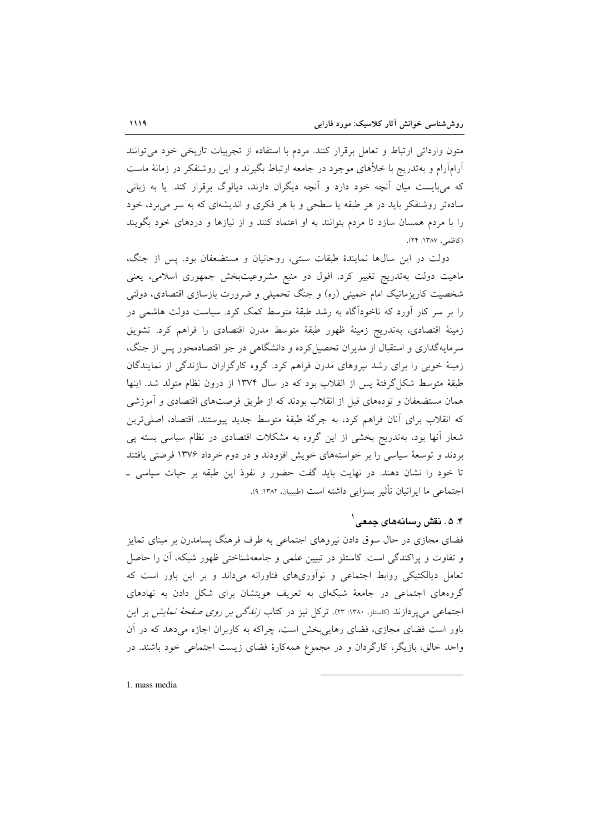متون وارداتی ارتباط و تعامل برقرار کنند. مردم با استفاده از تجربیات تاریخی خود می توانند آرامآرام و بهتدریج با خلأهای موجود در جامعه ارتباط بگیرند و این روشنفکر در زمانهٔ ماست که میبایست میان آنچه خود دارد و آنچه دیگران دارند، دیالوگ برقرار کند. یا به زبانی سادهتر روشنفکر باید در هر طبقه یا سطحی و با هر فکری و اندیشهای که به سر می برد، خود را با مردم همسان سازد تا مردم بتوانند به او اعتماد کنند و از نیازها و دردهای خود بگویند (كاظمى، ١٣٨٧: ٢۴).

دولت در این سالها نمایندهٔ طبقات سنتی، روحانیان و مستضعفان بود. پس از جنگ، ماهیت دولت بهتدریج تغییر کرد. افول دو منبع مشروعیتبخش جمهوری اسلامی، یعنی شخصیت کاریزماتیک امام خمینی (ره) و جنگ تحمیلی و ضرورت بازسازی اقتصادی، دولتی را بر سر کار اَورد که ناخودآگاه به رشد طبقهٔ متوسط کمک کرد. سیاست دولت هاشمی در زمینهٔ اقتصادی، بهتدریج زمینهٔ ظهور طبقهٔ متوسط مدرن اقتصادی را فراهم کرد. تشویق سرمایهگذاری و استقبال از مدیران تحصیل کرده و دانشگاهی در جو اقتصادمحور پس از جنگ، زمینهٔ خوبی را برای رشد نیروهای مدرن فراهم کرد. گروه کارگزاران سازندگی از نمایندگان طبقهٔ متوسط شکل گرفتهٔ پس از انقلاب بود که در سال ۱۳۷۴ از درون نظام متولد شد. اینها همان مستضعفان و تودههای قبل از انقلاب بودند که از طریق فرصتهای اقتصادی و آموزشی که انقلاب برای آنان فراهم کرد، به جرگهٔ طبقهٔ متوسط جدید پیوستند. اقتصاد، اصلیترین شعار آنها بود، بهتدریج بخشی از این گروه به مشکلات اقتصادی در نظام سیاسی بسته پی بردند و توسعهٔ سیاسی را بر خواستههای خویش افزودند و در دوم خرداد ۱۳۷۶ فرصتی یافتند تا خود را نشان دهند. در نهایت باید گفت حضور و نفوذ این طبقه بر حیات سیاسی ـ اجتماعی ما ایرانیان تأثیر بسزایی داشته است (طبیبیان، ۱۳۸۲: ۹).

## ۴. ۵. دقش , سادههای حمعی ٔ

فضای مجازی در حال سوق دادن نیروهای اجتماعی به طرف فرهنگ پسامدرن بر مبنای تمایز و تفاوت و پراکندگی است. کاستلز در تبیین علمی و جامعهشناختی ظهور شبکه، آن را حاصل تعامل دیالکتیکی روابط اجتماعی و نوآوریهای فناورانه میداند و بر این باور است که گروههای اجتماعی در جامعهٔ شبکهای به تعریف هویتشان برای شکل دادن به نهادهای اجتماعی می یو دازند (کاستلز، ۱۳۸۰: ۱۳). ترکل نیز در کتاب *زندگی بر روی صفحهٔ نمایش ب*ر این باور است فضای مجازی، فضای رهایی بخش است، چراکه به کاربران اجازه میدهد که در آن واحد خالق، بازیگر، کارگردان و در مجموع همهکارهٔ فضای زیست اجتماعی خود باشند. در

1. mass media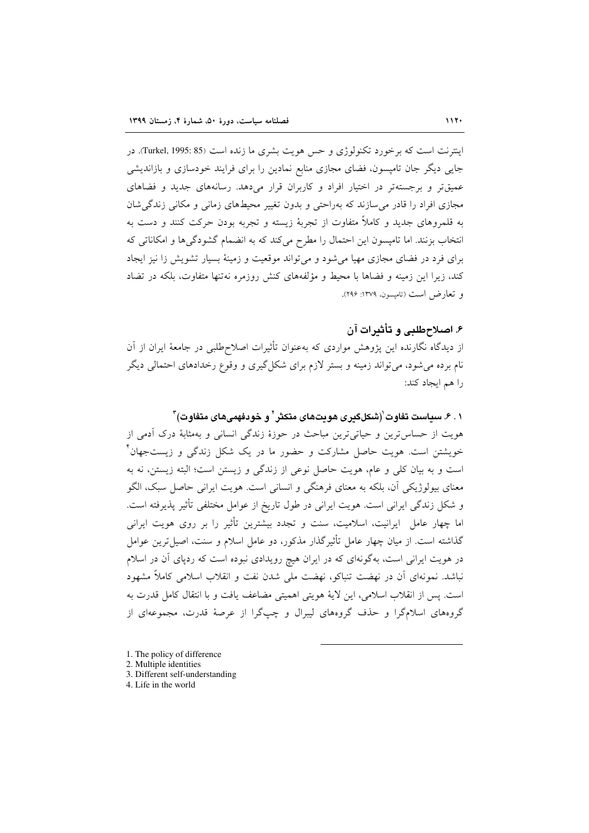اینترنت است که برخورد تکنولوژی و حس هویت بشری ما زنده است (Turkel, 1995: 85). در جایی دیگر جان تامیسون، فضای مجازی منابع نمادین را برای فرایند خودسازی و بازاندیشی عمیقتر و برجستهتر در اختیار افراد و کاربران قرار میدهد. رسانههای جدید و فضاهای مجازی افراد را قادر می سازند که بهراحتی و بدون تغییر محیطهای زمانی و مکانی زندگی شان به قلمروهای جدید و کاملاً متفاوت از تجربهٔ زیسته و تجربه بودن حرکت کنند و دست به انتخاب بزنند. اما تامیسون این احتمال را مطرح میکند که به انضمام گشودگیها و امکاناتی که برای فرد در فضای مجازی مهیا می شود و می تواند موقعیت و زمینهٔ بسیار تشویش زا نیز ایجاد کند، زیرا این زمینه و فضاها با محیط و مؤلفههای کنش روزمره نهتنها متفاوت، بلکه در تضاد و تعارض است (تاميسون، ١٣٧٩: ٢٩۶).

۶. اصلاح طلبی و تأثیرات آن

از دیدگاه نگارنده این پژوهش مواردی که بهعنوان تأثیرات اصلاحطلبی در جامعهٔ ایران از آن نام برده میشود، میتواند زمینه و بستر لازم برای شکل گیری و وقوع رخدادهای احتمالی دیگر را هم ايجاد كند:

۰۱. ۶. سیاست تفاوت`(شکلگیری هویتهای متکثر` و خودفهمیهای متفاوت)<sup>۳</sup>

هويت از حساس ترين و حياتي ترين مباحث در حوزهٔ زندگي انساني و بهمثابهٔ درک اَدمي از خویشتن است. هویت حاصل مشارکت و حضور ما در یک شکل زندگی و زیستجهان ٔ است و به بیان کلی و عام، هویت حاصل نوعی از زندگی و زیستن است؛ البته زیستن، نه به معنای بیولوژیکی آن، بلکه به معنای فرهنگی و انسانی است. هویت ایرانی حاصل سبک، الگو و شکل زندگی ایرانی است. هویت ایرانی در طول تاریخ از عوامل مختلفی تأثیر پذیرفته است. اما چهار عامل ایرانیت، اسلامیت، سنت و تجدد بیشترین تأثیر را بر روی هویت ایرانی گذاشته است. از میان چهار عامل تأثیرگذار مذکور، دو عامل اسلام و سنت، اصیل ترین عوامل در هویت ایرانی است، بهگونهای که در ایران هیچ رویدادی نبوده است که ردپای آن در اسلام نباشد. نمونهای آن در نهضت تنباکو، نهضت ملی شدن نفت و انقلاب اسلامی کاملاً مشهود است. پس از انقلاب اسلامی، این لایهٔ هویتی اهمیتی مضاعف یافت و با انتقال کامل قدرت به گروههای اسلامگرا و حذف گروههای لیبرال و چپگرا از عرصهٔ قدرت، مجموعهای از

- 1. The policy of difference
- 2. Multiple identities
- 3. Different self-understanding
- 4. Life in the world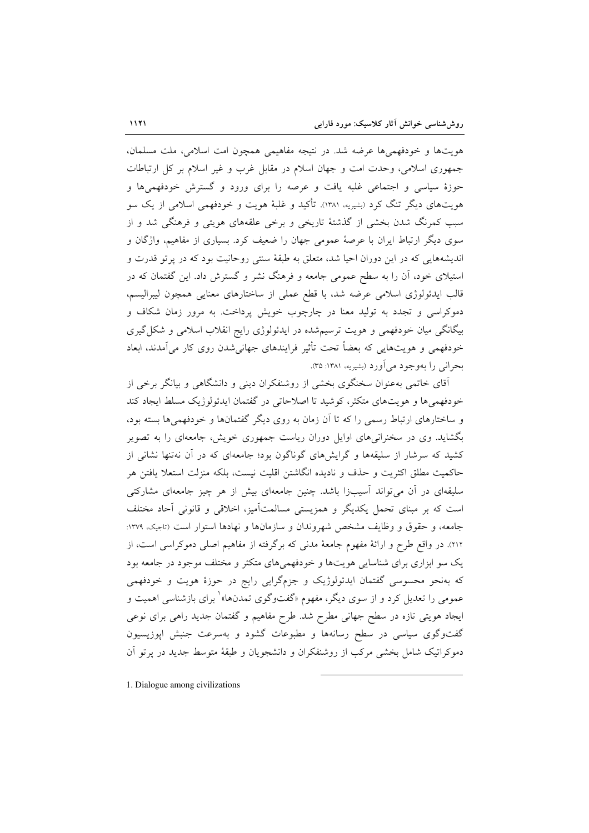هویتها و خودفهمیها عرضه شد. در نتیجه مفاهیمی همچون امت اسلامی، ملت مسلمان، جمهوری اسلامی، وحدت امت و جهان اسلام در مقابل غرب و غیر اسلام بر کل ارتباطات حوزهٔ سیاسی و اجتماعی غلبه یافت و عرصه را برای ورود و گسترش خودفهمیها و هویتهای دیگر تنگ کرد (بشیریه، ۱۳۸۱). تأکید و غلبهٔ هویت و خودفهمی اسلامی از یک سو سبب کمرنگ شدن بخشی از گذشتهٔ تاریخی و برخی علقههای هویتی و فرهنگی شد و از سوی دیگر ارتباط ایران با عرصهٔ عمومی جهان را ضعیف کرد. بسیاری از مفاهیم، واژگان و اندیشههایی که در این دوران احیا شد، متعلق به طبقهٔ سنتی روحانیت بود که در پرتو قدرت و استیلای خود، آن را به سطح عمومی جامعه و فرهنگ نشر و گسترش داد. این گفتمان که در قالب ایدئولوژی اسلامی عرضه شد، با قطع عملی از ساختارهای معنایی همچون لیبرالیسم، دموکراسی و تجدد به تولید معنا در چارچوب خویش پرداخت. به مرور زمان شکاف و بیگانگی میان خودفهمی و هویت ترسیمشده در ایدئولوژی رایج انقلاب اسلامی و شکل گیری خودفهمی و هویتهایی که بعضاً تحت تأثیر فرایندهای جهانی شدن روی کار میآمدند، ابعاد بحراني را بهوجود مي آورد (بشيريه، ١٣٨١: ٣٥).

آقای خاتمی بهعنوان سخنگوی بخشی از روشنفکران دینی و دانشگاهی و بیانگر برخی از خودفهمی ها و هویتهای متکثر، کوشید تا اصلاحاتی در گفتمان ایدئولوژیک مسلط ایجاد کند و ساختارهای ارتباط رسمی را که تا آن زمان به روی دیگر گفتمانها و خودفهمی ها بسته بود، بگشاید. وی در سخنرانیهای اوایل دوران ریاست جمهوری خویش، جامعهای را به تصویر کشید که سرشار از سلیقهها و گرایشهای گوناگون بود؛ جامعهای که در آن نهتنها نشانی از حاكميت مطلق اكثريت و حذف و ناديده انگاشتن اقليت نيست، بلكه منزلت استعلا يافتن هر سلیقهای در آن می تواند آسیبزا باشد. چنین جامعهای بیش از هر چیز جامعهای مشارکتی است که بر مبنای تحمل یکدیگر و همزیستی مسالمتآمیز، اخلاقی و قانونی آحاد مختلف جامعه، و حقوق و وظایف مشخص شهروندان و سازمانها و نهادها استوار است (تاجیک، ۱۳۷۹: ۲۱۲). در واقع طرح و ارائهٔ مفهوم جامعهٔ مدنی که برگرفته از مفاهیم اصلی دموکراسی است، از یک سو ابزاری برای شناسایی هویتها و خودفهمیهای متکثر و مختلف موجود در جامعه بود که بهنحو محسوسی گفتمان ایدئولوژیک و جزمگرایی رایج در حوزهٔ هویت و خودفهمی عمومی را تعدیل کرد و از سوی دیگر، مفهوم «گفتوگوی تمدنها» ٰ برای بازشناسی اهمیت و ایجاد هویتی تازه در سطح جهانی مطرح شد. طرح مفاهیم و گفتمان جدید راهی برای نوعی گفتوگوی سیاسی در سطح رسانهها و مطبوعات گشود و بهسرعت جنبش اپوزیسیون دموکراتیک شامل بخشی مرکب از روشنفکران و دانشجویان و طبقهٔ متوسط جدید در پرتو أن

1. Dialogue among civilizations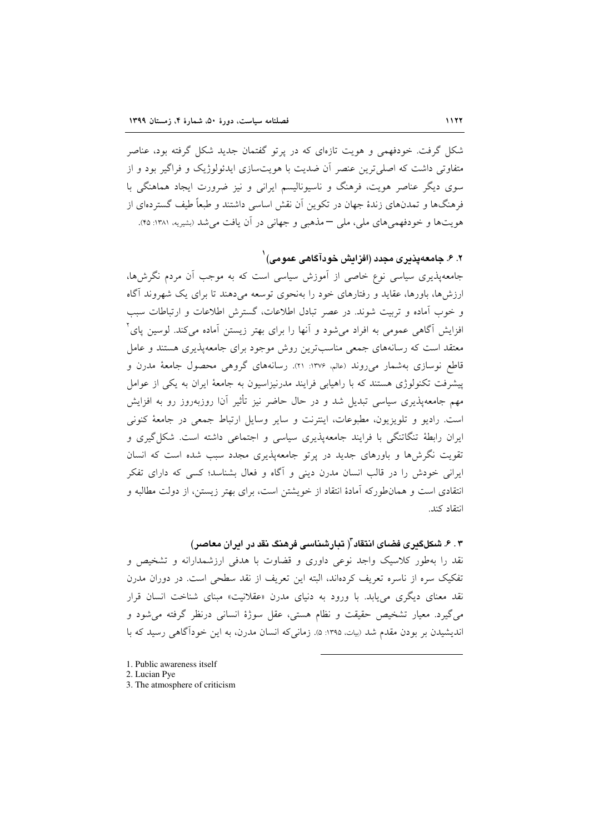شکل گرفت. خودفهمی و هویت تازهای که در پرتو گفتمان جدید شکل گرفته بود، عناصر متفاوتی داشت که اصلے ترین عنصر آن ضدیت یا هویتسازی ایدئولوژیک و فراگیر بود و از سوی دیگر عناصر هویت، فرهنگ و ناسیونالیسم ایرانی و نیز ضرورت ایجاد هماهنگی با فرهنگها و تمدنهای زندهٔ جهان در تکوین آن نقش اساسی داشتند و طبعاً طبف گستردهای از هويتها و خودفهمي هاي ملي، ملي –مذهبي و جهاني در آن يافت مي شد (بشيريه، ١٣٨١: ۴۵).

۲. ۶. جامعهپذیری مجدد (افزایش خودآگاهی عمومی) <sup>(</sup>

جامعه پذیری سیاسی نوع خاصی از آموزش سیاسی است که به موجب آن مردم نگرش ها، ارزش ها، باورها، عقاید و رفتارهای خود را بهنحوی توسعه می دهند تا برای یک شهروند آگاه و خوب آماده و تربیت شوند. در عصر تبادل اطلاعات، گسترش اطلاعات و ارتباطات سبب افزایش آگاهی عمومی به افراد می شود و آنها را برای بهتر زیستن آماده میکند. لوسین پای ٔ معتقد است که رسانههای جمعی مناسبترین روش موجود برای جامعهپذیری هستند و عامل قاطع نوسازی بهشمار میروند (علم، ۱۳۷۶: ۲۱). رسانههای گروهی محصول جامعهٔ مدرن و پیشرفت تکنولوژی هستند که با راهیابی فرایند مدرنیزاسیون به جامعهٔ ایران به یکی از عوامل مهم جامعهیذیری سیاسی تبدیل شد و در حال حاضر نیز تأثیر آنا روزبهروز رو به افزایش است. رادیو و تلویزیون، مطبوعات، اینترنت و سایر وسایل ارتباط جمعی در جامعهٔ کنونی ایران رابطهٔ تنگاتنگی با فرایند جامعهپذیری سیاسی و اجتماعی داشته است. شکل گیری و تقویت نگرش ها و باورهای جدید در پرتو جامعهپذیری مجدد سبب شده است که انسان ایرانی خودش را در قالب انسان مدرن دینی و آگاه و فعال بشناسد؛ کسی که دارای تفکر انتقادی است و همان طورکه آمادهٔ انتقاد از خویشتن است، برای بهتر زیستن، از دولت مطالبه و انتقاد كند.

۴ . ۶ . شکلگدری فضای انتقاد ّ( تبار شناسی فرهنگ نقد در ادران معاصر) نقد را بهطور کلاسیک واجد نوعی داوری و قضاوت با هدفی ارزشمدارانه و تشخیص و تفکیک سره از ناسره تعریف کردهاند، البته این تعریف از نقد سطحی است. در دوران مدرن نقد معنای دیگری می پابد. با ورود به دنیای مدرن «عقلانیت» مبنای شناخت انسان قرار می گیرد. معیار تشخیص حقیقت و نظام هستی، عقل سوژهٔ انسانی درنظر گرفته می شود و اندیشیدن بر بودن مقدم شد (بیات ۱۳۹۵: ۵). زمانی که انسان مدرن، به این خودآگاهی رسید که با

- 1. Public awareness itself
- 2. Lucian Pye
- 3. The atmosphere of criticism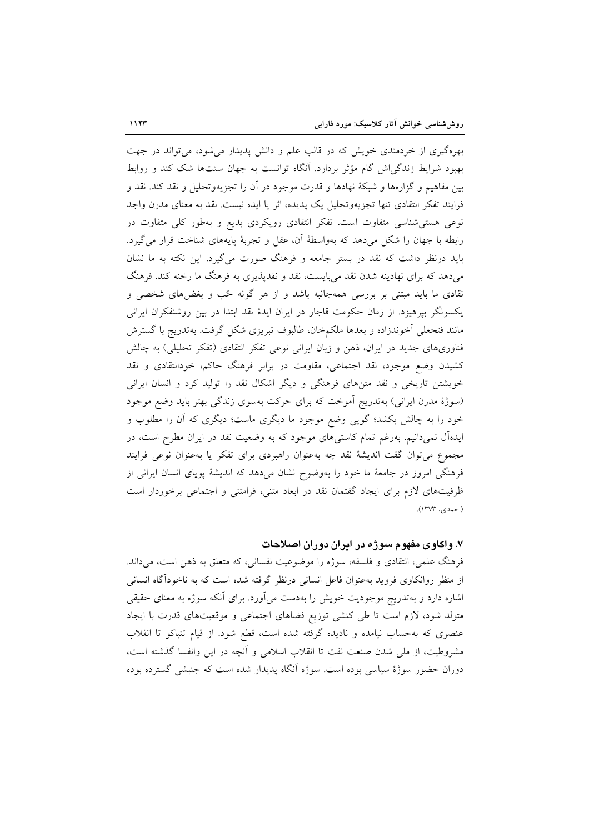بهرهگیری از خردمندی خویش که در قالب علم و دانش پدیدار می شود، می تواند در جهت بهبود شرایط زندگی اش گام مؤثر بردارد. آنگاه توانست به جهان سنتها شک کند و روابط بین مفاهیم و گزارهها و شبکهٔ نهادها و قدرت موجود در آن را تجزیهوتحلیل و نقد کند. نقد و فرایند تفکر انتقادی تنها تجزیهوتحلیل یک پدیده، اثر یا ایده نیست. نقد به معنای مدرن واجد نوعی هستی شناسی متفاوت است. تفکر انتقادی رویکردی بدیع و بهطور کلی متفاوت در رابطه با جهان را شکل میدهد که بهواسطهٔ آن، عقل و تجربهٔ پایههای شناخت قرار می گیرد. باید درنظر داشت که نقد در بستر جامعه و فرهنگ صورت میگیرد. این نکته به ما نشان میدهد که برای نهادینه شدن نقد میبایست، نقد و نقدیذیری به فرهنگ ما رخنه کند. فرهنگ نقادی ما باید مبتنی بر بررسی همهجانبه باشد و از هر گونه ځب و بغضهای شخصی و یکسونگر بیرهیزد. از زمان حکومت قاجار در ایران ایدهٔ نقد ابتدا در بین روشنفکران ایرانی مانند فتحعلي أخوندزاده و بعدها ملكمخان، طالبوف تبريزي شكل گرفت. بهتدريج با گسترش فناوریهای جدید در ایران، ذهن و زبان ایرانی نوعی تفکر انتقادی (تفکر تحلیلی) به چالش کشیدن وضع موجود، نقد اجتماعی، مقاومت در برابر فرهنگ حاکم، خودانتقادی و نقد خویشتن تاریخی و نقد متنهای فرهنگی و دیگر اشکال نقد را تولید کرد و انسان ایرانی (سوژهٔ مدرن ایرانی) بهتدریج اَموخت که برای حرکت بهسوی زندگی بهتر باید وضع موجود خود را به چالش بکشد؛ گویی وضع موجود ما دیگری ماست؛ دیگری که آن را مطلوب و ایدهآل نمیدانیم. بهرغم تمام کاستیهای موجود که به وضعیت نقد در ایران مطرح است، در مجموع میتوان گفت اندیشهٔ نقد چه بهعنوان راهبردی برای تفکر یا بهعنوان نوعی فرایند فرهنگی امروز در جامعهٔ ما خود را بهوضوح نشان میدهد که اندیشهٔ پویای انسان ایرانی از ظرفیتهای لازم برای ایجاد گفتمان نقد در ابعاد متنی، فرامتنی و اجتماعی برخوردار است (احمدي، ١٣٧٣).

#### ۷. واکاوی مفهوم سوژه در ایران دوران اصلاحات

فرهنگ علمي، انتقادي و فلسفه، سوژه را موضوعيت نفساني، كه متعلق به ذهن است، مي داند. از منظر روانکاوی فروید بهعنوان فاعل انسانی درنظر گرفته شده است که به ناخودآگاه انسانی اشاره دارد و بهتدریج موجودیت خویش را بهدست میآورد. برای آنکه سوژه به معنای حقیقی متولد شود، لازم است تا طی کنشی توزیع فضاهای اجتماعی و موقعیتهای قدرت با ایجاد عنصری که بهحساب نیامده و نادیده گرفته شده است، قطع شود. از قیام تنباکو تا انقلاب مشروطیت، از ملی شدن صنعت نفت تا انقلاب اسلامی و اَنچه در این وانفسا گذشته است، دوران حضور سوژهٔ سیاسی بوده است. سوژه آنگاه پدیدار شده است که جنبشی گسترده بوده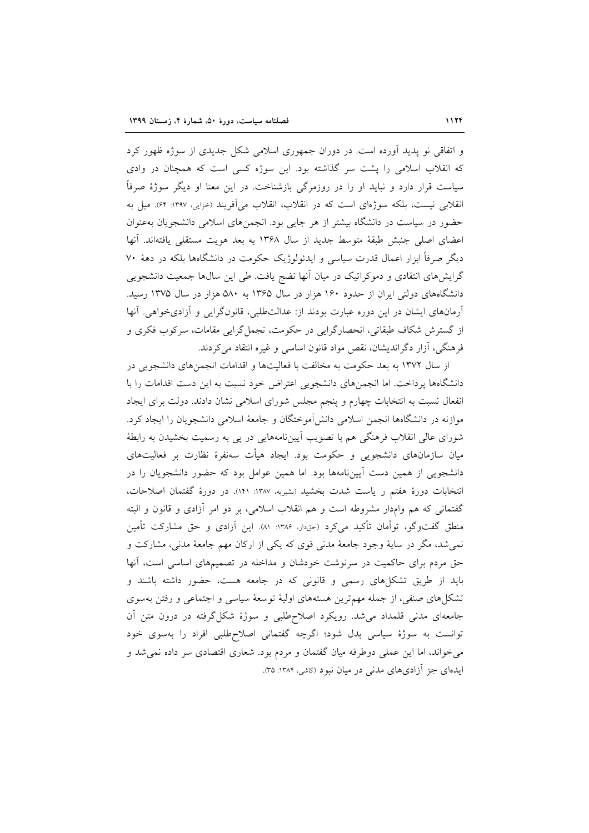و اتفاقی نو پدید آورده است. در دوران جمهوری اسلامی شکل جدیدی از سوژه ظهور کرد که انقلاب اسلامی را پشت سر گذاشته بود. این سوژه کسی است که همچنان در وادی سیاست قرار دارد و نباید او را در روزمرگی بازشناخت. در این معنا او دیگر سوژهٔ صرفاً انقلابی نیست، بلکه سوژهای است که در انقلاب، انقلاب می آفریند (حزایی، ۱۳۹۷: ۶۴). میل به حضور در سیاست در دانشگاه بیشتر از هر جایی بود. انجمنهای اسلامی دانشجویان بهعنوان اعضای اصلی جنبش طبقهٔ متوسط جدید از سال ۱۳۶۸ به بعد هویت مستقلی یافتهاند. آنها دیگر صرفاً ابزار اعمال قدرت سیاسی و ایدئولوژیک حکومت در دانشگاهها بلکه در دههٔ ۷۰ گرایشهای انتقادی و دموکراتیک در میان آنها نضج یافت. طی این سالها جمعیت دانشجویی دانشگاههای دولتی ایران از حدود ۱۶۰ هزار در سال ۱۳۶۵ به ۵۸۰ هزار در سال ۱۳۷۵ رسید. آرمانهای ایشان در این دوره عبارت بودند از: عدالتطلبی، قانونگرایی و آزادیخواهی. آنها از گسترش شکاف طبقاتی، انحصارگرایی در حکومت، تجمل گرایی مقامات، سرکوب فکری و فرهنگی، آزار دگراندیشان، نقص مواد قانون اساسی و غیره انتقاد می کردند.

از سال ۱۳۷۲ به بعد حکومت به مخالفت با فعالیتها و اقدامات انجمنهای دانشجویی در دانشگاهها پرداخت. اما انجمنهای دانشجویی اعتراض خود نسبت به این دست اقدامات را با انفعال نسبت به انتخابات چهارم و پنجم مجلس شورای اسلامی نشان دادند. دولت برای ایجاد موازنه در دانشگاهها انجمن اسلامی دانشآموختگان و جامعهٔ اسلامی دانشجویان را ایجاد کرد. شورای عالی انقلاب فرهنگی هم با تصویب اَییننامههایی در پی به رسمیت بخشیدن به رابطهٔ میان سازمانهای دانشجویی و حکومت بود. ایجاد هیأت سهنفرهٔ نظارت بر فعالیتهای دانشجویی از همین دست آییننامهها بود. اما همین عوامل بود که حضور دانشجویان را در انتخابات دورهٔ هفتم ر یاست شدت بخشید (بشیریه ۱۳۸۷: ۱۴۱). در دورهٔ گفتمان اصلاحات، گفتمانی که هم وامدار مشروطه است و هم انقلاب اسلامی، بر دو امر آزادی و قانون و البته منطق گفتوگو، توأمان تأکید میکرد (حقدار، ۱۳۸۶: ۸۱). این آزادی و حق مشارکت تأمین نمیشد، مگر در سایهٔ وجود جامعهٔ مدنی قوی که یکی از ارکان مهم جامعهٔ مدنی، مشارکت و حق مردم برای حاکمیت در سرنوشت خودشان و مداخله در تصمیمهای اساسی است، آنها باید از طریق تشکلهای رسمی و قانونی که در جامعه هست، حضور داشته باشند و تشکلهای صنفی، از جمله مهمترین هستههای اولیهٔ توسعهٔ سیاسی و اجتماعی و رفتن بهسوی جامعهای مدنی قلمداد می شد. رویکرد اصلاح طلبی و سوژهٔ شکل گرفته در درون متن آن توانست به سوژهٔ سیاسی بدل شود؛ اگرچه گفتمانی اصلاحطلبی افراد را بهسوی خود میخواند، اما این عملی دوطرفه میان گفتمان و مردم بود. شعاری اقتصادی سر داده نمیشد و ایدهای جز آزادیهای مدنی در میان نبود (کاشی، ۱۳۸۴: ۳۵).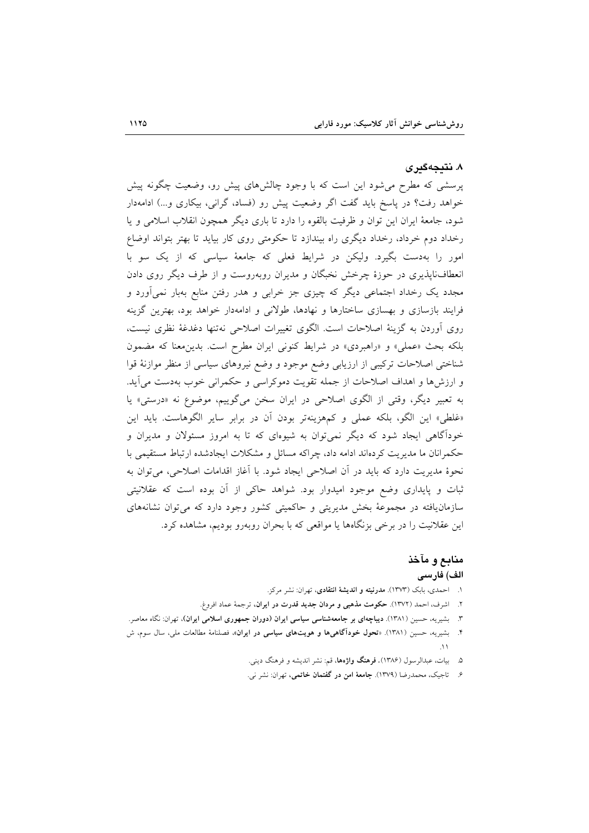#### ۸. نتىجەگىرى

پرسشی که مطرح می شود این است که با وجود چالشهای پیش رو، وضعیت چگونه پیش خواهد رفت؟ در ياسخ بايد گفت اگر وضعيت پيش رو (فساد، گراني، بيكاري و...) ادامهدار شود، جامعهٔ ایران این توان و ظرفیت بالقوه را دارد تا باری دیگر همچون انقلاب اسلامی و یا رخداد دوم خرداد، رخداد دیگری راه بیندازد تا حکومتی روی کار بیاید تا بهتر بتواند اوضاع امور را بهدست بگیرد. ولیکن در شرایط فعلی که جامعهٔ سیاسی که از یک سو با انعطاف نایذیری در حوزهٔ چرخش نخبگان و مدیران روبهروست و از طرف دیگر روی دادن مجدد یک رخداد اجتماعی دیگر که چیزی جز خرابی و هدر رفتن منابع بهبار نمی[ورد و فرایند بازسازی و بهسازی ساختارها و نهادها، طولانی و ادامهدار خواهد بود، بهترین گزینه روى أوردن به گزينهٔ اصلاحات است. الگوى تغييرات اصلاحى نهتنها دغدغهٔ نظرى نيست، بلکه بحث «عملي» و «راهبردي» در شرايط کنوني ايران مطرح است. بدين معنا که مضمون شناختی اصلاحات ترکیبی از ارزیابی وضع موجود و وضع نیروهای سیاسی از منظر موازنهٔ قوا و ارزشها و اهداف اصلاحات از جمله تقویت دموکراسی و حکمرانی خوب بهدست می آید. به تعبیر دیگر، وقتی از الگوی اصلاحی در ایران سخن میگوییم، موضوع نه «درستی» یا «غلطي» اين الگو، بلكه عملي و كمهزينهتر بودن آن در برابر ساير الگوهاست. بايد اين خودآگاهی ایجاد شود که دیگر نمیتوان به شیوهای که تا به امروز مسئولان و مدیران و حکمرانان ما مدیریت کردهاند ادامه داد، چراکه مسائل و مشکلات ایجادشده ارتباط مستقیمی با نحوهٔ مدیریت دارد که باید در آن اصلاحی ایجاد شود. با آغاز اقدامات اصلاحی، می توان به ثبات و پایداری وضع موجود امیدوار بود. شواهد حاکی از آن بوده است که عقلانیتی سازمان یافته در مجموعهٔ بخش مدیریتی و حاکمیتی کشور وجود دارد که می توان نشانههای این عقلانیت را در برخی بزنگاهها یا مواقعی که با بحران روبهرو بودیم، مشاهده کرد.

# منابع و مآخذ الف) فارسى

- ۱. احمدی، بابک (۱۳۷۳). م**درنیته و اندیشهٔ انتقادی**، تهران: نشر مرکز.
- ۲. اشرف، احمد (۱۳۷۲). حکومت مذهبی و مردان جدید قدرت در ایران، ترجمهٔ عماد افروغ.
- ۳. بشیریه، حسین (۱۳۸۱). **دیباچهای بر جامعهشناسی سیاسی ایران (دوران جمهوری اسلامی ایران**)، تهران: نگاه معاصر.
- ۴. بشیریه، حسین (۱۳۸۱). «تحول خودآگاهیها و هویتهای سیاسی در ایران»، فصلنامهٔ مطالعات ملی، سال سوم، ش
	- ۵. بیات، عبدالرسول (۱۳۸۶). فرهنگ واژهها، قم: نشر اندیشه و فرهنگ دینی.
	- ۶. تاجیک، محمدرضا (۱۳۷۹). **جامعهٔ امن در گفتمان خاتمی**، تهران: نشر نبی.